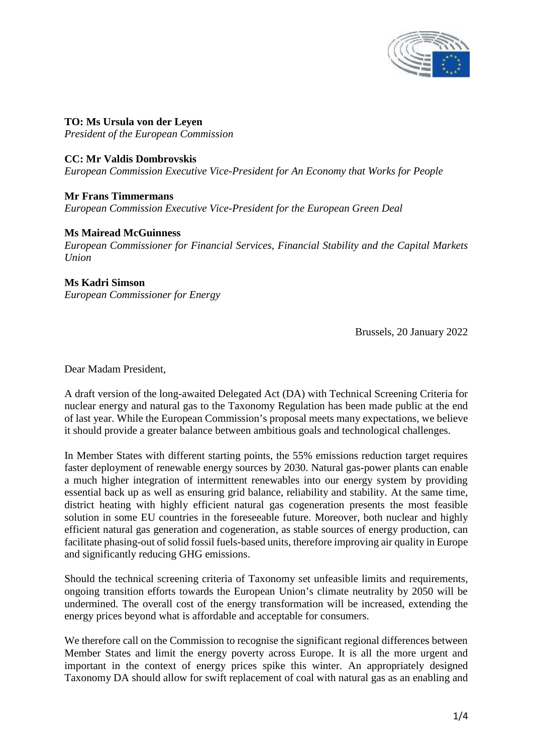

**TO: Ms Ursula von der Leyen** *President of the European Commission*

## **CC: Mr Valdis Dombrovskis**

*European Commission Executive Vice-President for An Economy that Works for People*

**Mr Frans Timmermans** *European Commission Executive Vice-President for the European Green Deal*

## **Ms Mairead McGuinness**

*European Commissioner for Financial Services, Financial Stability and the Capital Markets Union*

## **Ms Kadri Simson**

*European Commissioner for Energy*

Brussels, 20 January 2022

Dear Madam President,

A draft version of the long-awaited Delegated Act (DA) with Technical Screening Criteria for nuclear energy and natural gas to the Taxonomy Regulation has been made public at the end of last year. While the European Commission's proposal meets many expectations, we believe it should provide a greater balance between ambitious goals and technological challenges.

In Member States with different starting points, the 55% emissions reduction target requires faster deployment of renewable energy sources by 2030. Natural gas-power plants can enable a much higher integration of intermittent renewables into our energy system by providing essential back up as well as ensuring grid balance, reliability and stability. At the same time, district heating with highly efficient natural gas cogeneration presents the most feasible solution in some EU countries in the foreseeable future. Moreover, both nuclear and highly efficient natural gas generation and cogeneration, as stable sources of energy production, can facilitate phasing-out of solid fossil fuels-based units, therefore improving air quality in Europe and significantly reducing GHG emissions.

Should the technical screening criteria of Taxonomy set unfeasible limits and requirements, ongoing transition efforts towards the European Union's climate neutrality by 2050 will be undermined. The overall cost of the energy transformation will be increased, extending the energy prices beyond what is affordable and acceptable for consumers.

We therefore call on the Commission to recognise the significant regional differences between Member States and limit the energy poverty across Europe. It is all the more urgent and important in the context of energy prices spike this winter. An appropriately designed Taxonomy DA should allow for swift replacement of coal with natural gas as an enabling and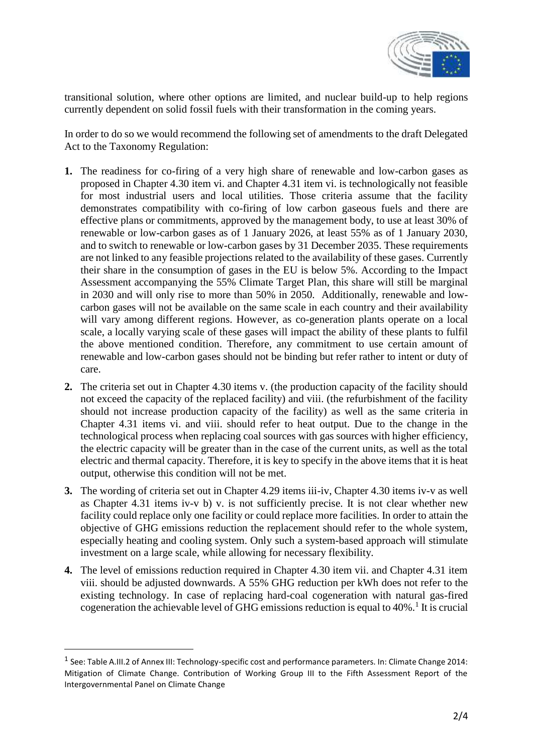

transitional solution, where other options are limited, and nuclear build-up to help regions currently dependent on solid fossil fuels with their transformation in the coming years.

In order to do so we would recommend the following set of amendments to the draft Delegated Act to the Taxonomy Regulation:

- **1.** The readiness for co-firing of a very high share of renewable and low-carbon gases as proposed in Chapter 4.30 item vi. and Chapter 4.31 item vi. is technologically not feasible for most industrial users and local utilities. Those criteria assume that the facility demonstrates compatibility with co-firing of low carbon gaseous fuels and there are effective plans or commitments, approved by the management body, to use at least 30% of renewable or low-carbon gases as of 1 January 2026, at least 55% as of 1 January 2030, and to switch to renewable or low-carbon gases by 31 December 2035. These requirements are not linked to any feasible projections related to the availability of these gases. Currently their share in the consumption of gases in the EU is below 5%. According to the Impact Assessment accompanying the 55% Climate Target Plan, this share will still be marginal in 2030 and will only rise to more than 50% in 2050. Additionally, renewable and low carbon gases will not be available on the same scale in each country and their availability will vary among different regions. However, as co-generation plants operate on a local scale, a locally varying scale of these gases will impact the ability of these plants to fulfil the above mentioned condition. Therefore, any commitment to use certain amount of renewable and low-carbon gases should not be binding but refer rather to intent or duty of care.
- **2.** The criteria set out in Chapter 4.30 items v. (the production capacity of the facility should not exceed the capacity of the replaced facility) and viii. (the refurbishment of the facility should not increase production capacity of the facility) as well as the same criteria in Chapter 4.31 items vi. and viii. should refer to heat output. Due to the change in the technological process when replacing coal sources with gas sources with higher efficiency, the electric capacity will be greater than in the case of the current units, as well as the total electric and thermal capacity. Therefore, it is key to specify in the above items that it is heat output, otherwise this condition will not be met.
- **3.** The wording of criteria set out in Chapter 4.29 items iii-iv, Chapter 4.30 items iv-v as well as Chapter 4.31 items iv-v b) v. is not sufficiently precise. It is not clear whether new facility could replace only one facility or could replace more facilities. In order to attain the objective of GHG emissions reduction the replacement should refer to the whole system, especially heating and cooling system. Only such a system-based approach will stimulate investment on a large scale, while allowing for necessary flexibility.
- **4.** The level of emissions reduction required in Chapter 4.30 item vii. and Chapter 4.31 item viii. should be adjusted downwards. A 55% GHG reduction per kWh does not refer to the existing technology. In case of replacing hard-coal cogeneration with natural gas-fired cogeneration the achievable level of GHG emissions reduction is equal to  $40\%$ .<sup>1</sup> It is crucial

<sup>&</sup>lt;sup>1</sup> See: Table A.III.2 of Annex III: Technology-specific cost and performance parameters. In: Climate Change 2014: Mitigation of Climate Change. Contribution of Working Group III to the Fifth Assessment Report of the Intergovernmental Panel on Climate Change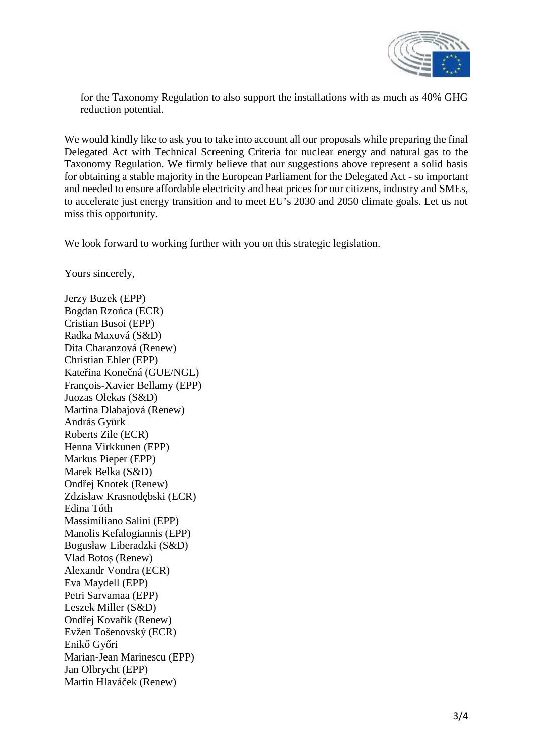

for the Taxonomy Regulation to also support the installations with as much as 40% GHG reduction potential.

We would kindly like to ask you to take into account all our proposals while preparing the final Delegated Act with Technical Screening Criteria for nuclear energy and natural gas to the Taxonomy Regulation. We firmly believe that our suggestions above represent a solid basis for obtaining a stable majority in the European Parliament for the Delegated Act - so important and needed to ensure affordable electricity and heat prices for our citizens, industry and SMEs, to accelerate just energy transition and to meet EU's 2030 and 2050 climate goals. Let us not miss this opportunity.

We look forward to working further with you on this strategic legislation.

Yours sincerely,

Jerzy Buzek (EPP) Bogdan Rzo ca (ECR) Cristian Busoi (EPP) Radka Maxová (S&D) Dita Charanzová (Renew) Christian Ehler (EPP) Kate ina Kone ná (GUE/NGL) François-Xavier Bellamy (EPP) Juozas Olekas (S&D) Martina Dlabajová (Renew) András Gyürk Roberts Zile (ECR) Henna Virkkunen (EPP) Markus Pieper (EPP) Marek Belka (S&D) Ond ej Knotek (Renew) Zdzisław Krasnod bski (ECR) Edina Tóth Massimiliano Salini (EPP) Manolis Kefalogiannis (EPP) Bogusław Liberadzki (S&D) Vlad Boto (Renew) Alexandr Vondra (ECR) Eva Maydell (EPP) Petri Sarvamaa (EPP) Leszek Miller (S&D) Ond ej Kova ík (Renew) Evžen Tošenovský (ECR) Enik Gy ri Marian-Jean Marinescu (EPP) Jan Olbrycht (EPP) Martin Hlavá ek (Renew)